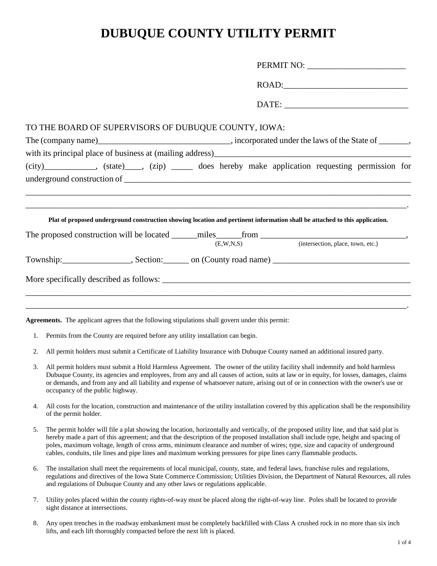## **DUBUQUE COUNTY UTILITY PERMIT**

| TO THE BOARD OF SUPERVISORS OF DUBUQUE COUNTY, IOWA:                                                                        |  |                                             |  |
|-----------------------------------------------------------------------------------------------------------------------------|--|---------------------------------------------|--|
|                                                                                                                             |  |                                             |  |
|                                                                                                                             |  |                                             |  |
| (city) ____________, (state) ____, (zip) ______ does hereby make application requesting permission for                      |  |                                             |  |
| Plat of proposed underground construction showing location and pertinent information shall be attached to this application. |  |                                             |  |
|                                                                                                                             |  |                                             |  |
|                                                                                                                             |  | (E,W,N,S) (intersection, place, town, etc.) |  |
|                                                                                                                             |  |                                             |  |
|                                                                                                                             |  |                                             |  |
|                                                                                                                             |  |                                             |  |

**Agreements.** The applicant agrees that the following stipulations shall govern under this permit:

- 1. Permits from the County are required before any utility installation can begin.
- 2. All permit holders must submit a Certificate of Liability Insurance with Dubuque County named an additional insured party.
- 3. All permit holders must submit a Hold Harmless Agreement. The owner of the utility facility shall indemnify and hold harmless Dubuque County, its agencies and employees, from any and all causes of action, suits at law or in equity, for losses, damages, claims or demands, and from any and all liability and expense of whatsoever nature, arising out of or in connection with the owner's use or occupancy of the public highway.
- 4. All costs for the location, construction and maintenance of the utility installation covered by this application shall be the responsibility of the permit holder.
- 5. The permit holder will file a plat showing the location, horizontally and vertically, of the proposed utility line, and that said plat is hereby made a part of this agreement; and that the description of the proposed installation shall include type, height and spacing of poles, maximum voltage, length of cross arms, minimum clearance and number of wires; type, size and capacity of underground cables, conduits, tile lines and pipe lines and maximum working pressures for pipe lines carry flammable products.
- 6. The installation shall meet the requirements of local municipal, county, state, and federal laws, franchise rules and regulations, regulations and directives of the Iowa State Commerce Commission; Utilities Division, the Department of Natural Resources, all rules and regulations of Dubuque County and any other laws or regulations applicable.
- 7. Utility poles placed within the county rights-of-way must be placed along the right-of-way line. Poles shall be located to provide sight distance at intersections.
- 8. Any open trenches in the roadway embankment must be completely backfilled with Class A crushed rock in no more than six inch lifts, and each lift thoroughly compacted before the next lift is placed.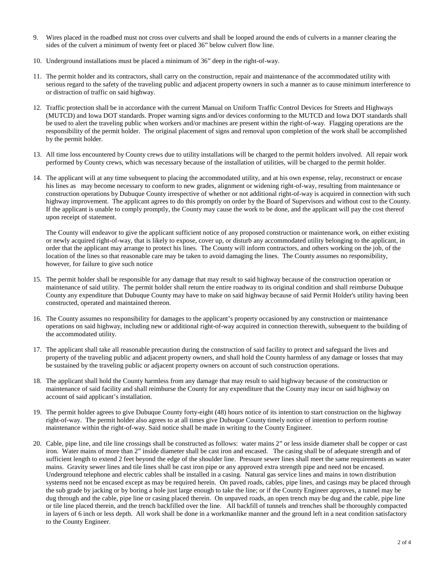- 9. Wires placed in the roadbed must not cross over culverts and shall be looped around the ends of culverts in a manner clearing the sides of the culvert a minimum of twenty feet or placed 36" below culvert flow line.
- 10. Underground installations must be placed a minimum of 36" deep in the right-of-way.
- 11. The permit holder and its contractors, shall carry on the construction, repair and maintenance of the accommodated utility with serious regard to the safety of the traveling public and adjacent property owners in such a manner as to cause minimum interference to or distraction of traffic on said highway.
- 12. Traffic protection shall be in accordance with the current Manual on Uniform Traffic Control Devices for Streets and Highways (MUTCD) and Iowa DOT standards. Proper warning signs and/or devices conforming to the MUTCD and Iowa DOT standards shall be used to alert the traveling public when workers and/or machines are present within the right-of-way. Flagging operations are the responsibility of the permit holder. The original placement of signs and removal upon completion of the work shall be accomplished by the permit holder.
- 13. All time loss encountered by County crews due to utility installations will be charged to the permit holders involved. All repair work performed by County crews, which was necessary because of the installation of utilities, will be charged to the permit holder.
- 14. The applicant will at any time subsequent to placing the accommodated utility, and at his own expense, relay, reconstruct or encase his lines as may become necessary to conform to new grades, alignment or widening right-of-way, resulting from maintenance or construction operations by Dubuque County irrespective of whether or not additional right-of-way is acquired in connection with such highway improvement. The applicant agrees to do this promptly on order by the Board of Supervisors and without cost to the County. If the applicant is unable to comply promptly, the County may cause the work to be done, and the applicant will pay the cost thereof upon receipt of statement.

The County will endeavor to give the applicant sufficient notice of any proposed construction or maintenance work, on either existing or newly acquired right-of-way, that is likely to expose, cover up, or disturb any accommodated utility belonging to the applicant, in order that the applicant may arrange to protect his lines. The County will inform contractors, and others working on the job, of the location of the lines so that reasonable care may be taken to avoid damaging the lines. The County assumes no responsibility, however, for failure to give such notice

- 15. The permit holder shall be responsible for any damage that may result to said highway because of the construction operation or maintenance of said utility. The permit holder shall return the entire roadway to its original condition and shall reimburse Dubuque County any expenditure that Dubuque County may have to make on said highway because of said Permit Holder's utility having been constructed, operated and maintained thereon.
- 16. The County assumes no responsibility for damages to the applicant's property occasioned by any construction or maintenance operations on said highway, including new or additional right-of-way acquired in connection therewith, subsequent to the building of the accommodated utility.
- 17. The applicant shall take all reasonable precaution during the construction of said facility to protect and safeguard the lives and property of the traveling public and adjacent property owners, and shall hold the County harmless of any damage or losses that may be sustained by the traveling public or adjacent property owners on account of such construction operations.
- 18. The applicant shall hold the County harmless from any damage that may result to said highway because of the construction or maintenance of said facility and shall reimburse the County for any expenditure that the County may incur on said highway on account of said applicant's installation.
- 19. The permit holder agrees to give Dubuque County forty-eight (48) hours notice of its intention to start construction on the highway right-of-way. The permit holder also agrees to at all times give Dubuque County timely notice of intention to perform routine maintenance within the right-of-way. Said notice shall be made in writing to the County Engineer.
- 20. Cable, pipe line, and tile line crossings shall be constructed as follows: water mains 2" or less inside diameter shall be copper or cast iron. Water mains of more than 2" inside diameter shall be cast iron and encased. The casing shall be of adequate strength and of sufficient length to extend 2 feet beyond the edge of the shoulder line. Pressure sewer lines shall meet the same requirements as water mains. Gravity sewer lines and tile lines shall be cast iron pipe or any approved extra strength pipe and need not be encased. Underground telephone and electric cables shall be installed in a casing. Natural gas service lines and mains in town distribution systems need not be encased except as may be required herein. On paved roads, cables, pipe lines, and casings may be placed through the sub grade by jacking or by boring a hole just large enough to take the line; or if the County Engineer approves, a tunnel may be dug through and the cable, pipe line or casing placed therein. On unpaved roads, an open trench may be dug and the cable, pipe line or tile line placed therein, and the trench backfilled over the line. All backfill of tunnels and trenches shall be thoroughly compacted in layers of 6 inch or less depth. All work shall be done in a workmanlike manner and the ground left in a neat condition satisfactory to the County Engineer.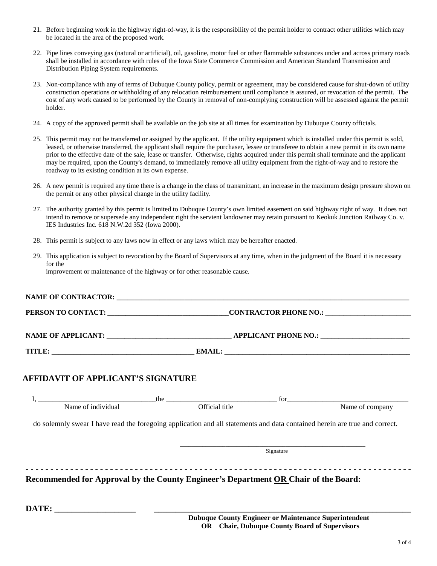- 21. Before beginning work in the highway right-of-way, it is the responsibility of the permit holder to contract other utilities which may be located in the area of the proposed work.
- 22. Pipe lines conveying gas (natural or artificial), oil, gasoline, motor fuel or other flammable substances under and across primary roads shall be installed in accordance with rules of the Iowa State Commerce Commission and American Standard Transmission and Distribution Piping System requirements.
- 23. Non-compliance with any of terms of Dubuque County policy, permit or agreement, may be considered cause for shut-down of utility construction operations or withholding of any relocation reimbursement until compliance is assured, or revocation of the permit. The cost of any work caused to be performed by the County in removal of non-complying construction will be assessed against the permit holder.
- 24. A copy of the approved permit shall be available on the job site at all times for examination by Dubuque County officials.
- 25. This permit may not be transferred or assigned by the applicant. If the utility equipment which is installed under this permit is sold, leased, or otherwise transferred, the applicant shall require the purchaser, lessee or transferee to obtain a new permit in its own name prior to the effective date of the sale, lease or transfer. Otherwise, rights acquired under this permit shall terminate and the applicant may be required, upon the County's demand, to immediately remove all utility equipment from the right-of-way and to restore the roadway to its existing condition at its own expense.
- 26. A new permit is required any time there is a change in the class of transmittant, an increase in the maximum design pressure shown on the permit or any other physical change in the utility facility.
- 27. The authority granted by this permit is limited to Dubuque County's own limited easement on said highway right of way. It does not intend to remove or supersede any independent right the servient landowner may retain pursuant to Keokuk Junction Railway Co. v. IES Industries Inc. 618 N.W.2d 352 (Iowa 2000).
- 28. This permit is subject to any laws now in effect or any laws which may be hereafter enacted.
- 29. This application is subject to revocation by the Board of Supervisors at any time, when in the judgment of the Board it is necessary for the improvement or maintenance of the highway or for other reasonable cause.

| <b>NAME OF CONTRACTOR:</b> |  |
|----------------------------|--|
|                            |  |

**PERSON TO CONTACT: \_\_\_\_\_\_\_\_\_\_\_\_\_\_\_\_\_\_\_\_\_\_\_\_\_\_\_\_\_\_\_\_\_\_CONTRACTOR PHONE NO.:** \_\_\_\_\_\_\_\_\_\_\_\_\_\_\_\_\_\_\_\_\_\_\_\_

**NAME OF APPLICANT:** \_\_\_\_\_\_\_\_\_\_\_\_\_\_\_\_\_\_\_\_\_\_\_\_\_\_\_\_\_\_\_\_\_\_\_ **APPLICANT PHONE NO.:** \_\_\_\_\_\_\_\_\_\_\_\_\_\_\_\_\_\_\_\_\_\_\_\_\_

**TITLE:** EMAIL:

## **AFFIDAVIT OF APPLICANT'S SIGNATURE**

|                    | for<br>the                                                                                                                 |                 |  |
|--------------------|----------------------------------------------------------------------------------------------------------------------------|-----------------|--|
| Name of individual | Official title                                                                                                             | Name of company |  |
|                    | do solemnly swear I have read the foregoing application and all statements and data contained herein are true and correct. |                 |  |
|                    |                                                                                                                            |                 |  |
|                    |                                                                                                                            | Signature       |  |
|                    |                                                                                                                            |                 |  |
|                    | Recommended for Approval by the County Engineer's Department OR Chair of the Board:                                        |                 |  |
|                    |                                                                                                                            |                 |  |
| DATE:              |                                                                                                                            |                 |  |

 **Dubuque County Engineer or Maintenance Superintendent OR Chair, Dubuque County Board of Supervisors**